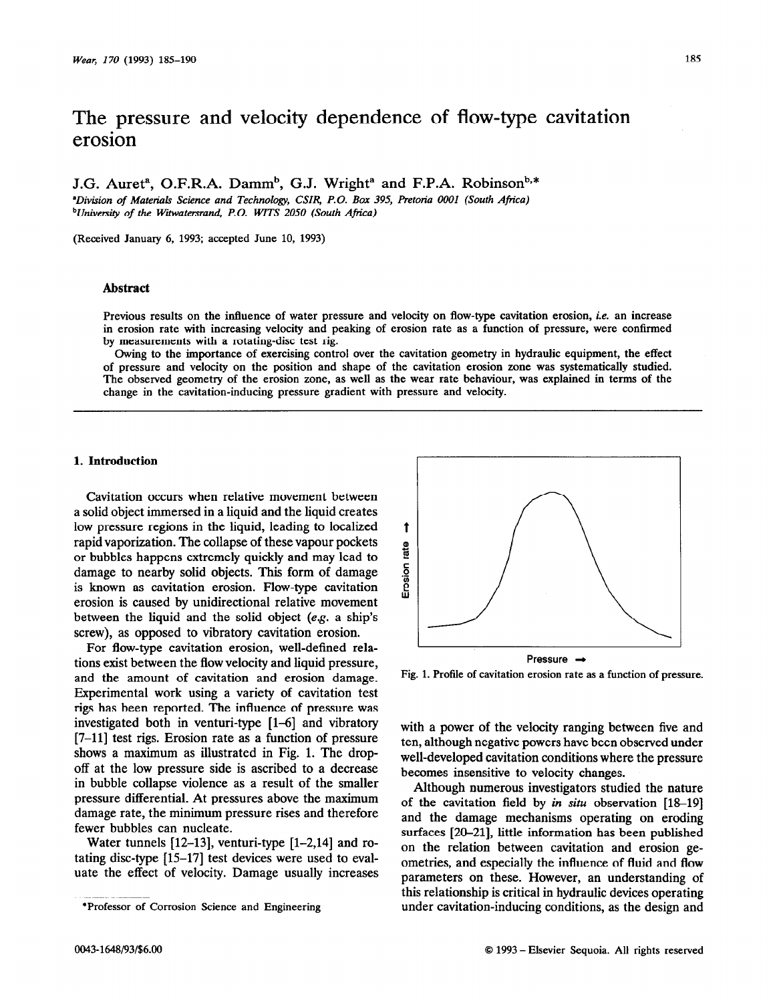# The pressure and velocity dependence of flow-type cavitation erosion

J.G. Auret<sup>a</sup>, O.F.R.A. Damm<sup>b</sup>, G.J. Wright<sup>a</sup> and F.P.A. Robinson<sup>b,\*</sup>

*\*Division of Material Science and Technology, CUR, P.O. Box 395, Pretoria 0001 (South Africa) bUnivebty of the Witwatersrand, P.O. WITS 2050 (South Africa)* 

**(Received January 6, 1993; accepted June 10, 1993)** 

## Abstract

**Previous results on the influence of water pressure and velocity on flow-type cavitation erosion, ie. an increase in erosion rate with increasing velocity and peaking of erosion rate as a function of pressure, were confirmed by measurements with a rotating-disc test rig.** 

**Owing to the importance of exercising control over the cavitation geometry in hydraulic equipment, the effect of pressure and velocity on the position and shape of the cavitation erosion zone was systematically studied. The observed geometry of the erosion zone, as well as the wear rate behaviour, was explained in terms of the change in the cavitation-inducing pressure gradient with pressure and velocity.** 

## **1. Introduction**

**Cavitation** occurs when relative movement between a solid object immersed in a liquid and the liquid creates low pressure regions in the liquid, leading to localized rapid vaporization. The collapse of these vapour pockets or bubbles happens extremely quickly and may lead to damage to nearby solid objects. This form of damage is known as cavitation erosion. Flow-type cavitation erosion is caused by unidirectional relative movement between the liquid and the solid object  $(e.g., a ship's$ screw), as opposed to vibratory cavitation erosion.

For flow-type cavitation erosion, well-defined relations exist between the flow velocity and liquid pressure, and the amount of cavitation and erosion damage. Experimental work using a variety of cavitation test rigs has been reported. The influence of pressure was investigated both in venturi-type  $[1-6]$  and vibratory [7-11] test rigs. Erosion rate as a function of pressure shows a maximum as illustrated in Fig. 1. The dropoff at the low pressure side is ascribed to a decrease in bubble collapse violence as a result of the smaller pressure differential. At pressures above the maximum damage rate, the minimum pressure rises and therefore fewer bubbles can nucleate.

Water tunnels  $[12-13]$ , venturi-type  $[1-2,14]$  and rotating disc-type [15-171 test devices were used to evaluate the effect of velocity. Damage usually increases



**Fig. 1. Profile of cavitation erosion rate as a function of pressure.** 

with a power of the velocity ranging between five and ten, although negative powers have been observed under well-developed cavitation conditions where the pressure becomes insensitive to velocity changes.

Although numerous investigators studied the nature of the cavitation field by *in situ* observation [18-19] and the damage mechanisms operating on eroding surfaces [20-21], little information has been published on the relation between cavitation and erosion geometries, and especially the influence of fluid and flow parameters on these. However, an understanding of this relationship is critical in hydraulic devices operating under cavitation-inducing conditions, as the design and

**<sup>\*</sup>Professor of Corrosion Science and Engineering**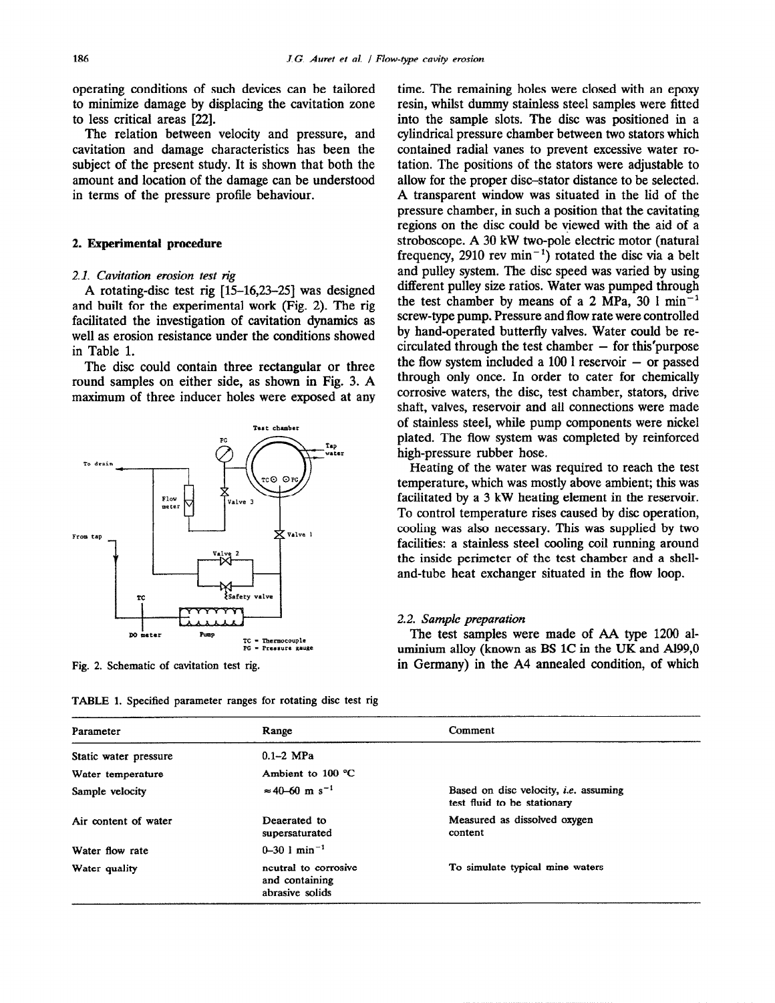operating conditions of such devices can be tailored to minimize damage by displacing the cavitation zone to less critical areas [22].

The relation between velocity and pressure, and cavitation and damage characteristics has been the subject of the present study. It is shown that both the amount and location of the damage can be understood in terms of the pressure profile behaviour.

## 2. **Experimental procedure**

#### 2.1. Cavitation erosion test rig

A rotating-disc test rig [15-16,23-251 was designed and built for the experimental work (Fig. 2). The rig facilitated the investigation of cavitation dynamics as well as erosion resistance under the conditions showed in Table 1.

The disc could contain three rectangular or three round samples on either side, as shown in Fig. 3. A maximum of three inducer holes were exposed at any



**Fig. 2. Schematic of cavitation test rig.** 

**TABLE 1. Specified parameter ranges for rotating disc test rig** 

time. The remaining holes were closed with an epoxy resin, whilst dummy stainless steel samples were fitted into the sample slots. The disc was positioned in a cylindrical pressure chamber between two stators which contained radial vanes to prevent excessive water rotation. The positions of the stators were adjustable to allow for the proper disc-stator distance to be selected. A transparent window was situated in the lid of the pressure chamber, in such a position that the cavitating regions on the disc could be viewed with the aid of a stroboscope. A 30 kW two-pole electric motor (natural frequency, 2910 rev  $min^{-1}$  rotated the disc via a belt and pulley system. The disc speed was varied by using different pulley size ratios. Water was pumped through the test chamber by means of a 2 MPa, 30  $1 \text{ min}^{-1}$ screw-type pump. Pressure and flow rate were controlled by hand-operated butterfly valves. Water could be re $circulated through the test chamber - for this' purpose$ the flow system included a  $100$  l reservoir  $-$  or passed through only once. In order to cater for chemically corrosive waters, the disc, test chamber, stators, drive shaft, valves, reservoir and all connections were made of stainless steel, while pump components were nickel plated. The flow system was completed by reinforced high-pressure rubber hose.

Heating of the water was required to reach the test temperature, which was mostly above ambient; this was facilitated by a 3 kW heating element in the reservoir. To control temperature rises caused by disc operation, cooling was also necessary. This was supplied by two facilities: a stainless steel cooling coil running around the inside perimeter of the test chamber and a shelland-tube heat exchanger situated in the flow loop.

## 2.2. Sample preparation

*The* test samples were made of AA type 1200 aluminium alloy (known as BS 1C in the UK and Al99,O in Germany) in the A4 annealed condition, of which

| Parameter             | Range                                                     | Comment                                                                     |  |  |  |
|-----------------------|-----------------------------------------------------------|-----------------------------------------------------------------------------|--|--|--|
| Static water pressure | $0.1-2$ MPa                                               |                                                                             |  |  |  |
| Water temperature     | Ambient to $100 °C$                                       |                                                                             |  |  |  |
| Sample velocity       | $\approx 40 - 60$ m s <sup>-1</sup>                       | Based on disc velocity, <i>i.e.</i> assuming<br>test fluid to be stationary |  |  |  |
| Air content of water  | Deaerated to<br>supersaturated                            | Measured as dissolved oxygen<br>content                                     |  |  |  |
| Water flow rate       | $0 - 30$ 1 min <sup>-1</sup>                              |                                                                             |  |  |  |
| Water quality         | neutral to corrosive<br>and containing<br>abrasive solids | To simulate typical mine waters                                             |  |  |  |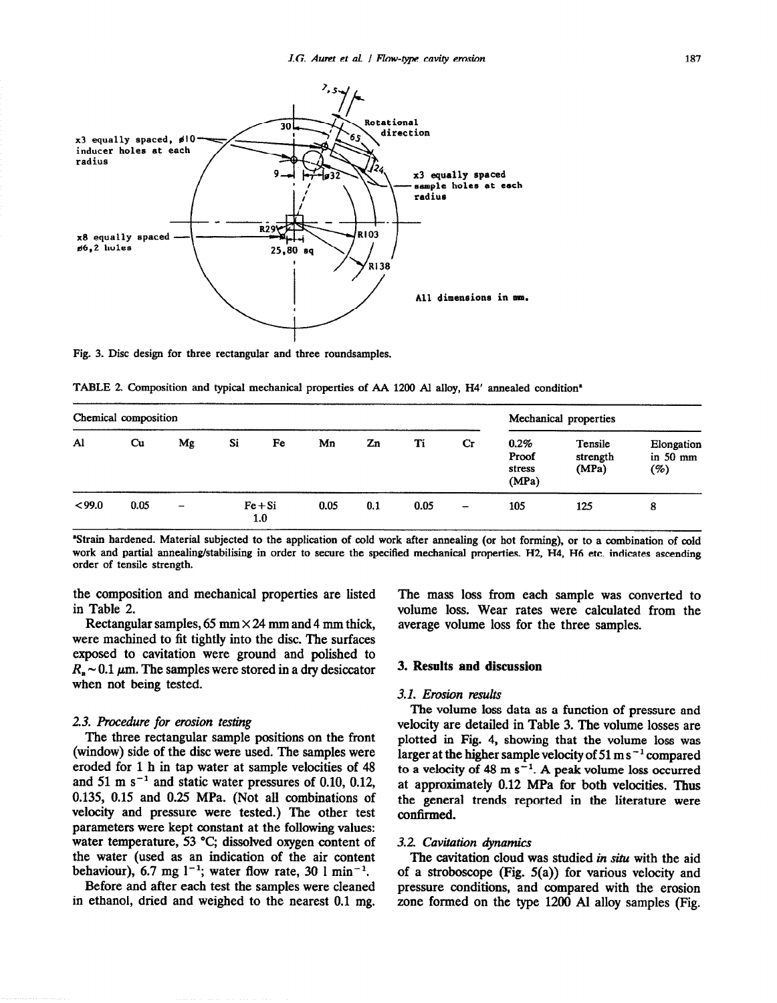

Fig. 3. Disc design for three rectangular and three roundsamples.

**TABLE 2. Composition and typical mechanical properties of AA 1200 Al alloy, H4' annealed condition'** 

| Chemical composition |                        |                          |                  |    |      | Mechanical properties |      |                          |                                     |                              |                                 |
|----------------------|------------------------|--------------------------|------------------|----|------|-----------------------|------|--------------------------|-------------------------------------|------------------------------|---------------------------------|
| Al                   | $\mathbf{C}\mathbf{u}$ | Mg                       | Si               | Fe | Mn   | Zn                    | Ti   | $_{\rm Cr}$              | $0.2\%$<br>Proof<br>stress<br>(MPa) | Tensile<br>strength<br>(MPa) | Elongation<br>in $50$ mm<br>(%) |
| <99.0                | 0.05                   | $\overline{\phantom{a}}$ | $Fe + Si$<br>1.0 |    | 0.05 | 0.1                   | 0.05 | $\overline{\phantom{m}}$ | 105                                 | 125                          | 8                               |

**'Strain hardened. Materiai subjected to the application of cold work after annealing (or hot forming), or to a combination of cold work and partial annealing/stabilising in order to secure the specified mechanical properties. H2, H4, H6 etc. indicates ascending order of tensile strength.** 

the composition and mechanical properties are listed in Table 2.

Rectangular samples,  $65 \text{ mm} \times 24 \text{ mm}$  and 4 mm thick, were machined to fit tightly into the disc. The surfaces exposed to cavitation were ground and polished to  $R_a \sim 0.1 \mu$ m. The samples were stored in a dry desiccator when not being tested.

#### 2.3. *Procedure for erosion testing*

*The* three rectangular sample positions on the front (window) side of the disc were used. The samples were eroded for 1 h in tap water at sample velocities of 48 and 51 m  $s^{-1}$  and static water pressures of 0.10, 0.12, 0.135, 0.15 and 0.25 MPa. (Not all combinations of velocity and pressure were tested.) The other test parameters were kept constant at the following values: water temperature, 53 °C; dissolved oxygen content of the water (used as an indication of the air content behaviour), 6.7 mg  $1^{-1}$ ; water flow rate, 30 1 min<sup>-1</sup>.

Before and after each test the samples were cleaned in ethanol, dried and weighed to the nearest 0.1 mg. The mass loss from each sample was converted to volume loss. Wear rates were calculated from the average volume loss for the three samples.

# 3. Results and discussion

# 3.1. Erosion results

*The* volume loss data as a function of pressure and velocity are detailed in Table 3. The volume losses are plotted in Fig. 4, showing that the volume loss was larger at the higher sample velocity of 51 m s<sup> $-1$ </sup> compared to a velocity of 48 m  $s^{-1}$ . A peak volume loss occurred at approximately 0.12 MPa for both velocities. Thus the general trends reported in the literature were confirmed.

#### **3.2. Cavitation dynamics**

**The** cavitation cloud was studied in siru with the aid of a stroboscope (Fig. 5(a)) for various velocity and pressure conditions, and compared with the erosion zone formed on the type 1200 Al alloy samples (Fig.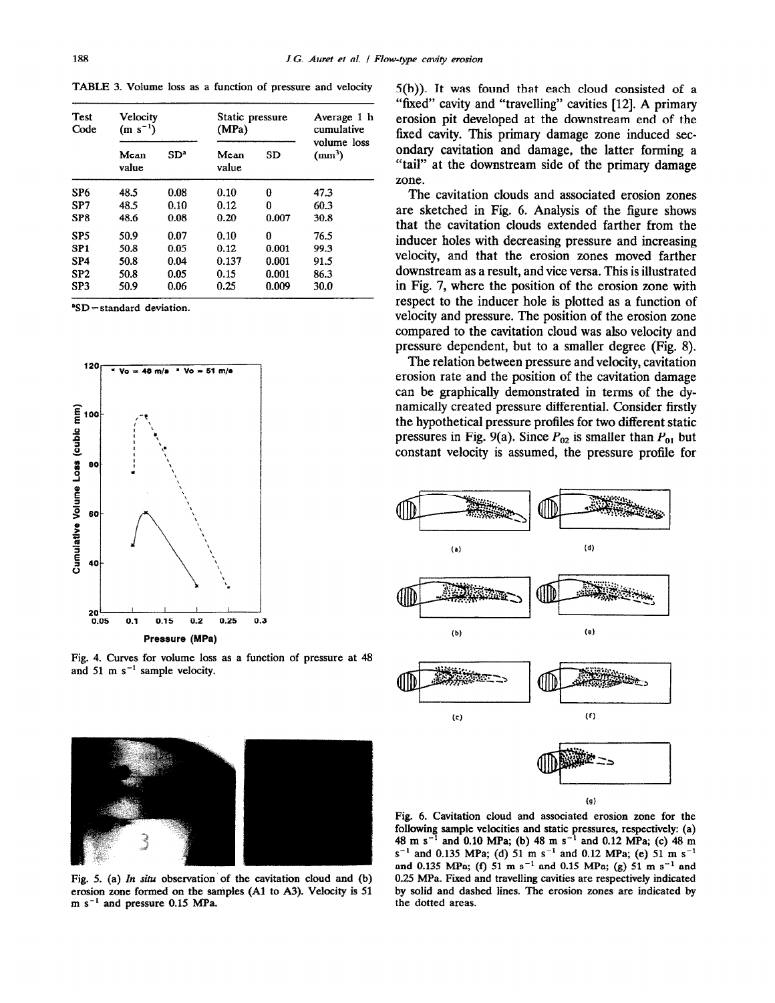**TABLE 3. Volume loss as a function of pressure and velocity** 

| Test<br>Code    | Velocity<br>$(m s^{-1})$ |                 | Static pressure<br>(MPa) |           | Average 1 h<br>cumulative         |
|-----------------|--------------------------|-----------------|--------------------------|-----------|-----------------------------------|
|                 | Mean<br>value            | SD <sup>a</sup> | Mean<br>value            | <b>SD</b> | volume loss<br>(mm <sup>3</sup> ) |
| SP <sub>6</sub> | 48.5                     | 0.08            | 0.10                     | 0         | 47.3                              |
| SP7             | 48.5                     | 0.10            | 0.12                     | 0         | 60.3                              |
| SP <sub>8</sub> | 48.6                     | 0.08            | 0.20                     | 0.007     | 30.8                              |
| SP <sub>5</sub> | 50.9                     | 0.07            | 0.10                     | 0         | 76.5                              |
| SP <sub>1</sub> | 50.8                     | 0.05            | 0.12                     | 0.001     | 99.3                              |
| SP <sub>4</sub> | 50.8                     | 0.04            | 0.137                    | 0.001     | 91.5                              |
| SP <sub>2</sub> | 50.8                     | 0.05            | 0.15                     | 0.001     | 86.3                              |
| SP <sub>3</sub> | 50.9                     | 0.06            | 0.25                     | 0.009     | 30.0                              |

**'SD = standard deviation.** 



**Fig. 4. Curves for volume loss as a function of pressure at 48**  and 51 m  $s^{-1}$  sample velocity.

5(b)). It was found that each cloud consisted of a "fixed" cavity and "travelling" cavities [12]. A primary erosion pit developed at the downstream end of the fixed cavity. This primary damage zone induced secondary cavitation and damage, the latter forming a "tail" at the downstream side of the primary damage zone.

The cavitation clouds and associated erosion zones are sketched in Fig. 6. Analysis of the figure shows that the cavitation clouds extended farther from the inducer holes with decreasing pressure and increasing velocity, and that the erosion zones moved farther downstream as a result, and vice versa. This is illustrated in Fig. 7, where the position of the erosion zone with respect to the inducer hole is plotted as a function of velocity and pressure. The position of the erosion zone compared to the cavitation cloud was also velocity and pressure dependent, but to a smaller degree (Fig. 8).

The relation between pressure and velocity, cavitation erosion rate and the position of the cavitation damage can be graphically demonstrated in terms of the dynamically created pressure differential. Consider firstly the hypothetical pressure profiles for two different static pressures in Fig. 9(a). Since  $P_{02}$  is smaller than  $P_{01}$  but constant velocity is assumed, the pressure profile for





Fig. 5. (a) *In situ* observation of the cavitation cloud and (b) **erosion zone formed on the samples (Al to A3). Velocity is 51 m s-' and pressure 0.15 MPa.** 

**Fig. 6. Cavitation cloud and associated erosion zone for the following sample velocities and static pressures, respectively: (a) 48 m 5-l and 0.10 MPa; (b) 48 m s-' and 0.12 MPa; (c) 48 m**   $s^{-1}$  and 0.135 MPa; (d) 51 m  $s^{-1}$  and 0.12 MPa; (e) 51 m  $s^{-1}$ and 0.135 MPa; (f)  $51 \text{ m s}^{-1}$  and 0.15 MPa; (g)  $51 \text{ m s}^{-1}$  and **0.25 MPa. Fixed and travelling cavities are respectively indicated by solid and dashed lines. The erosion zones are indicated by the dotted areas.**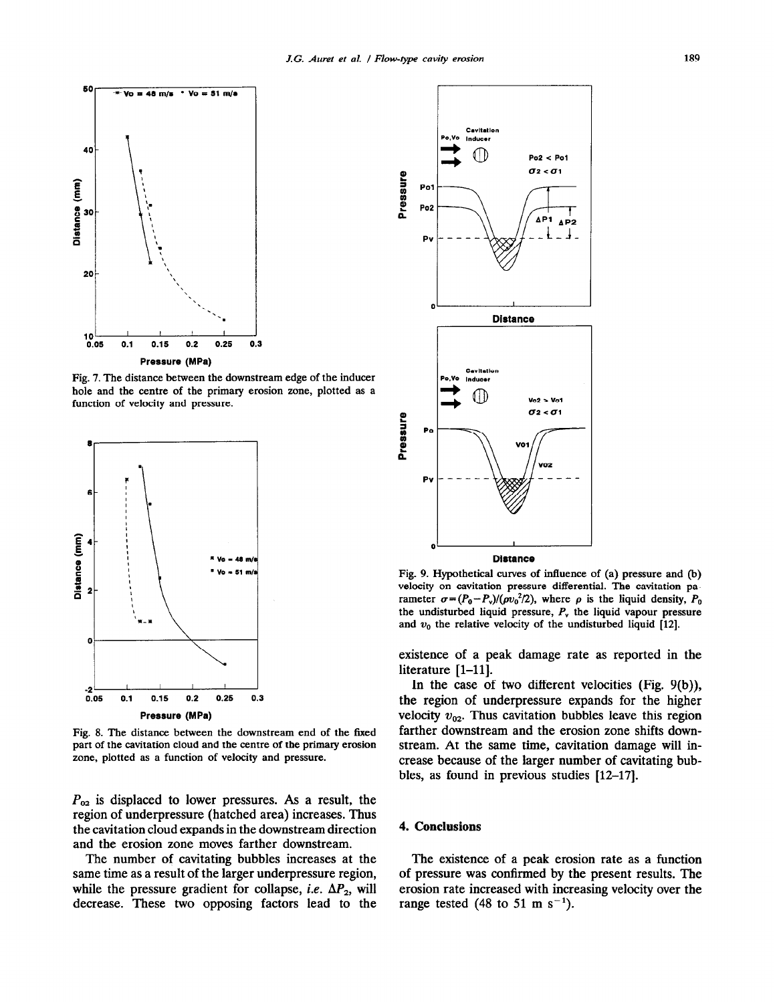

**Fig. 7. The distance between the downstream edge of the inducer hole and the centre of the primary erosion zone, plotted as a function of velocity and pressure.** 



**Fig. 8. The distance between the downstream end of the fized part of the cavitation cloud and the centre of the primary erosion zone, plotted as a function of velocity and pressure.** 

 $P_{\alpha 2}$  is displaced to lower pressures. As a result, the region of underpressure (hatched area) increases. Thus the cavitation cloud expands in the downstream direction and the erosion zone moves farther downstream.

The number of cavitating bubbles increases at the same time as a result of the larger underpressure region, while the pressure gradient for collapse, *i.e.*  $\Delta P_2$ , will decrease. These two opposing factors lead to the



**Fig. 9. Hypothetical curves of influence of (a) pressure and (b) velocity on cavitation pressure differential. The cavitation pa**rameter  $\sigma = (P_0 - P_v)/(\rho v_0^2/2)$ , where  $\rho$  is the liquid density,  $P_0$ **the undisturbed liquid pressure,** *P,* **the liquid vapour pressure**  and  $v_0$  the relative velocity of the undisturbed liquid [12].

existence of a peak damage rate as reported in the literature [1–11].

In the case of two different velocities (Fig. 9(b)), the region of underpressure expands for the higher velocity  $v_{02}$ . Thus cavitation bubbles leave this region farther downstream and the erosion zone shifts downstream. At the same time, cavitation damage will increase because of the larger number of cavitating bubbles, as found in previous studies [12-17].

#### 4. **Conclusions**

The existence of a peak erosion rate as a function of pressure was confirmed by the present results. The erosion rate increased with increasing velocity over the range tested (48 to 51 m s<sup>-1</sup>).